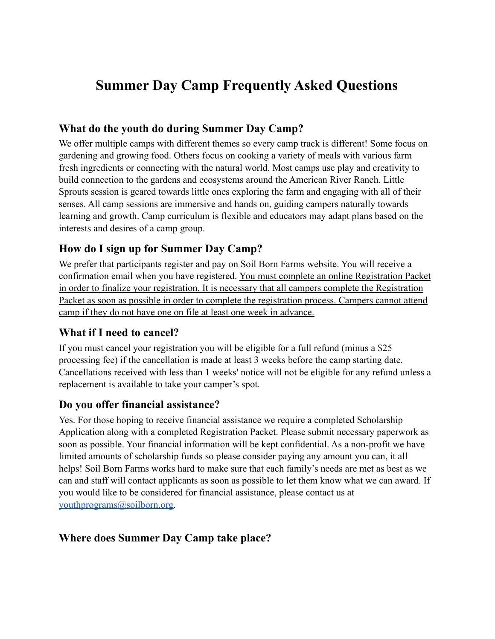# **Summer Day Camp Frequently Asked Questions**

## **What do the youth do during Summer Day Camp?**

We offer multiple camps with different themes so every camp track is different! Some focus on gardening and growing food. Others focus on cooking a variety of meals with various farm fresh ingredients or connecting with the natural world. Most camps use play and creativity to build connection to the gardens and ecosystems around the American River Ranch. Little Sprouts session is geared towards little ones exploring the farm and engaging with all of their senses. All camp sessions are immersive and hands on, guiding campers naturally towards learning and growth. Camp curriculum is flexible and educators may adapt plans based on the interests and desires of a camp group.

## **How do I sign up for Summer Day Camp?**

We prefer that participants register and pay on Soil Born Farms website. You will receive a confirmation email when you have registered. You must complete an online Registration Packet in order to finalize your registration. It is necessary that all campers complete the Registration Packet as soon as possible in order to complete the registration process. Campers cannot attend camp if they do not have one on file at least one week in advance.

#### **What if I need to cancel?**

If you must cancel your registration you will be eligible for a full refund (minus a \$25 processing fee) if the cancellation is made at least 3 weeks before the camp starting date. Cancellations received with less than 1 weeks' notice will not be eligible for any refund unless a replacement is available to take your camper's spot.

#### **Do you offer financial assistance?**

Yes. For those hoping to receive financial assistance we require a completed Scholarship Application along with a completed Registration Packet. Please submit necessary paperwork as soon as possible. Your financial information will be kept confidential. As a non-profit we have limited amounts of scholarship funds so please consider paying any amount you can, it all helps! Soil Born Farms works hard to make sure that each family's needs are met as best as we can and staff will contact applicants as soon as possible to let them know what we can award. If you would like to be considered for financial assistance, please contact us at [youthprograms@soilborn.org.](mailto:youthprograms@soilborn.org)

## **Where does Summer Day Camp take place?**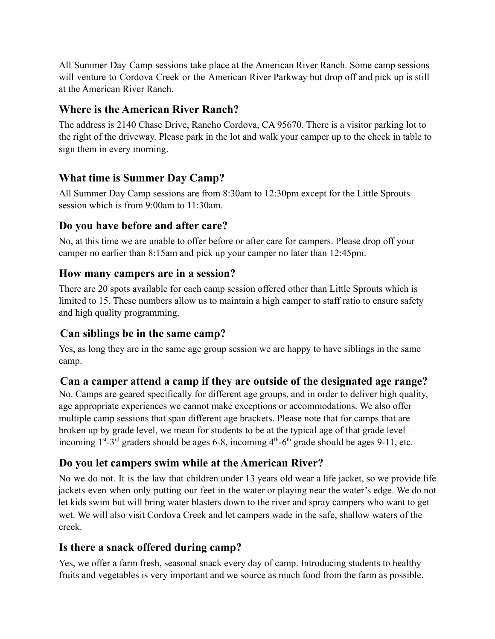All Summer Day Camp sessions take place at the American River Ranch. Some camp sessions will venture to Cordova Creek or the American River Parkway but drop off and pick up is still at the American River Ranch.

#### **Where is the American River Ranch?**

The address is 2140 Chase Drive, Rancho Cordova, CA 95670. There is a visitor parking lot to the right of the driveway. Please park in the lot and walk your camper up to the check in table to sign them in every morning.

## **What time is Summer Day Camp?**

All Summer Day Camp sessions are from 8:30am to 12:30pm except for the Little Sprouts session which is from 9:00am to 11:30am.

## **Do you have before and after care?**

No, at this time we are unable to offer before or after care for campers. Please drop off your camper no earlier than 8:15am and pick up your camper no later than 12:45pm.

## **How many campers are in a session?**

There are 20 spots available for each camp session offered other than Little Sprouts which is limited to 15. These numbers allow us to maintain a high camper to staff ratio to ensure safety and high quality programming.

## **Can siblings be in the same camp?**

Yes, as long they are in the same age group session we are happy to have siblings in the same camp.

## **Can a camper attend a camp if they are outside of the designated age range?**

No. Camps are geared specifically for different age groups, and in order to deliver high quality, age appropriate experiences we cannot make exceptions or accommodations. We also offer multiple camp sessions that span different age brackets. Please note that for camps that are broken up by grade level, we mean for students to be at the typical age of that grade level – incoming  $1^{st}$ -3<sup>rd</sup> graders should be ages 6-8, incoming  $4^{th}$ -6<sup>th</sup> grade should be ages 9-11, etc.

## **Do you let campers swim while at the American River?**

No we do not. It is the law that children under 13 years old wear a life jacket, so we provide life jackets even when only putting our feet in the water or playing near the water's edge. We do not let kids swim but will bring water blasters down to the river and spray campers who want to get wet. We will also visit Cordova Creek and let campers wade in the safe, shallow waters of the creek.

## **Is there a snack offered during camp?**

Yes, we offer a farm fresh, seasonal snack every day of camp. Introducing students to healthy fruits and vegetables is very important and we source as much food from the farm as possible.